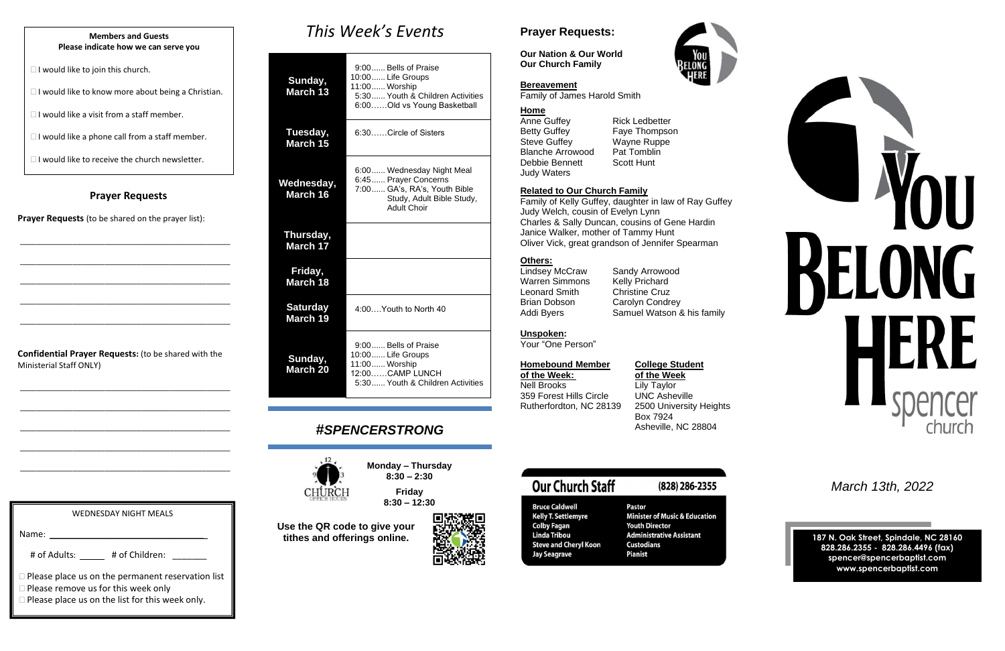### **Prayer Requests**

**Prayer Requests** (to be shared on the prayer list):

\_\_\_\_\_\_\_\_\_\_\_\_\_\_\_\_\_\_\_\_\_\_\_\_\_\_\_\_\_\_\_\_\_\_\_\_\_\_\_\_\_\_\_\_\_\_\_\_\_\_\_\_

\_\_\_\_\_\_\_\_\_\_\_\_\_\_\_\_\_\_\_\_\_\_\_\_\_\_\_\_\_\_\_\_\_\_\_\_\_\_\_\_\_\_\_\_\_\_\_\_\_\_\_\_

\_\_\_\_\_\_\_\_\_\_\_\_\_\_\_\_\_\_\_\_\_\_\_\_\_\_\_\_\_\_\_\_\_\_\_\_\_\_\_\_\_\_\_\_\_\_\_\_\_\_\_\_

\_\_\_\_\_\_\_\_\_\_\_\_\_\_\_\_\_\_\_\_\_\_\_\_\_\_\_\_\_\_\_\_\_\_\_\_\_\_\_\_\_\_\_\_\_\_\_\_\_\_\_\_

\_\_\_\_\_\_\_\_\_\_\_\_\_\_\_\_\_\_\_\_\_\_\_\_\_\_\_\_\_\_\_\_\_\_\_\_\_\_\_\_\_\_\_\_\_\_\_\_\_\_\_\_

# *This Week's Events* 9:00. Bells of Praise

**Confidential Prayer Requests:** (to be shared with the Ministerial Staff ONLY)

\_\_\_\_\_\_\_\_\_\_\_\_\_\_\_\_\_\_\_\_\_\_\_\_\_\_\_\_\_\_\_\_\_\_\_\_\_\_\_\_\_\_\_\_\_\_\_\_\_\_\_\_

\_\_\_\_\_\_\_\_\_\_\_\_\_\_\_\_\_\_\_\_\_\_\_\_\_\_\_\_\_\_\_\_\_\_\_\_\_\_\_\_\_\_\_\_\_\_\_\_\_\_\_\_

\_\_\_\_\_\_\_\_\_\_\_\_\_\_\_\_\_\_\_\_\_\_\_\_\_\_\_\_\_\_\_\_\_\_\_\_\_\_\_\_\_\_\_\_\_\_\_\_\_\_\_\_

\_\_\_\_\_\_\_\_\_\_\_\_\_\_\_\_\_\_\_\_\_\_\_\_\_\_\_\_\_\_\_\_\_\_\_\_\_\_\_\_\_\_\_\_\_\_\_\_\_\_\_\_

\_\_\_\_\_\_\_\_\_\_\_\_\_\_\_\_\_\_\_\_\_\_\_\_\_\_\_\_\_\_\_\_\_\_\_\_\_\_\_\_\_\_\_\_\_\_\_\_\_\_\_\_

Anne Guffey<br>
Betty Guffey<br>
Faye Thompso Steve Guffey Wayne Ruppe Blanche Arrowood Pat Tomblin Debbie Bennett Scott Hunt Judy Waters

Faye Thompson

| Sunday,<br>March 13         | סטוסו ו וט פווסט וטט.כ<br>10:00 Life Groups<br>11:00 Worship<br>5:30 Youth & Children Activities<br>6:00Old vs Young Basketball       |
|-----------------------------|---------------------------------------------------------------------------------------------------------------------------------------|
| Tuesday,<br>March 15        | 6:30Circle of Sisters                                                                                                                 |
| Wednesday,<br>March 16      | 6:00 Wednesday Night Meal<br>6:45  Prayer Concerns<br>7:00 GA's, RA's, Youth Bible<br>Study, Adult Bible Study,<br><b>Adult Choir</b> |
| Thursday,<br>March 17       |                                                                                                                                       |
| Friday,<br>March 18         |                                                                                                                                       |
| <b>Saturday</b><br>March 19 | $4:00$ Youth to North 40                                                                                                              |
| Sunday,<br>March 20         | 9:00 Bells of Praise<br>10:00  Life Groups<br>11:00 Worship<br>12:00CAMP LUNCH<br>5:30 Youth & Children Activities                    |

## *#SPENCERSTRONG*



**Monday – Thursday 8:30 – 2:30**

> **Friday 8:30 – 12:30**

# WEDNESDAY NIGHT MEALS Name: # of Adults: \_\_\_\_\_\_\_\_ # of Children: **Please place us on the permanent reservation list** □ Please remove us for this week only

**Please place us on the list for this week only.** 

#### **Bruce Caldwell Kelly T. Settlemyre Colby Fagan Linda Tribou Steve and Cheryl Koon Jay Seagrave**

**Our Church Staff** 

#### Pastor **Minister of Music & Education Youth Director Administrative Assistant Custodians Pianist**

(828) 286-2355





**Use the QR code to give your tithes and offerings online.**

## **Prayer Requests:**

**Our Nation & Our World Our Church Family**

#### **Bereavement**

Family of James Harold Smith

#### **Home**

#### **Related to Our Church Family**

Family of Kelly Guffey, daughter in law of Ray Guffey Judy Welch, cousin of Evelyn Lynn Charles & Sally Duncan, cousins of Gene Hardin Janice Walker, mother of Tammy Hunt Oliver Vick, great grandson of Jennifer Spearman

#### **Others:**

Lindsey McCraw Sandy Arrowood Warren Simmons Leonard Smith Christine Cruz Brian Dobson Carolyn Condrey

Addi Byers Samuel Watson & his family

#### **Unspoken:**

Your "One Person"

## **Homebound Member College Student**

**of the Week: of the Week** Nell Brooks Lily Taylor 359 Forest Hills Circle UNC Asheville

Rutherfordton, NC 28139 2500 University Heights Box 7924 Asheville, NC 28804

*March 13th, 2022*

**187 N. Oak Street, Spindale, NC 28160 828.286.2355 - 828.286.4496 (fax) spencer@spencerbaptist.com www.spencerbaptist.com**

#### **Members and Guests Please indicate how we can serve you**

 $\Box$  I would like to join this church.

 $\Box$  I would like to know more about being a Christian.

 $\Box$  I would like a visit from a staff member.

 $\Box$  I would like a phone call from a staff member.

 $\Box$  I would like to receive the church newsletter.